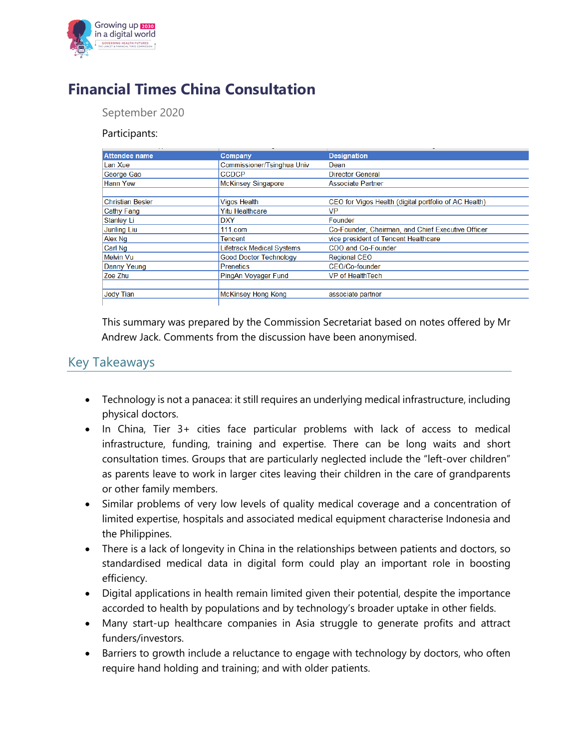

## **Financial Times China Consultation**

September 2020

## Participants:

| Attendee name           | Company                          | <b>Designation</b>                                    |
|-------------------------|----------------------------------|-------------------------------------------------------|
| Lan Xue                 | Commissioner/Tsinghua Univ       | Dean                                                  |
| George Gao              | <b>CCDCP</b>                     | <b>Director General</b>                               |
| <b>Hann Yew</b>         | <b>McKinsey Singapore</b>        | <b>Associate Partner</b>                              |
|                         |                                  |                                                       |
| <b>Christian Besler</b> | <b>Vigos Health</b>              | CEO for Vigos Health (digital portfolio of AC Health) |
| Cathy Fang              | <b>Yitu Healthcare</b>           | VP                                                    |
| Stanley Li              | <b>DXY</b>                       | Founder                                               |
| <b>Junling Liu</b>      | $111$ .com                       | Co-Founder, Chairman, and Chief Executive Officer     |
| Alex Ng                 | Tencent                          | vice president of Tencent Healthcare                  |
| Carl Ng                 | <b>Lifetrack Medical Systems</b> | COO and Co-Founder                                    |
| Melvin Vu               | <b>Good Doctor Technology</b>    | <b>Regional CEO</b>                                   |
| Danny Yeung             | <b>Prenetics</b>                 | CEO/Co-founder                                        |
| Zoe Zhu                 | PingAn Voyager Fund              | VP of HealthTech                                      |
|                         |                                  |                                                       |
| <b>Jody Tian</b>        | <b>McKinsey Hong Kong</b>        | associate partner                                     |
|                         |                                  |                                                       |

This summary was prepared by the Commission Secretariat based on notes offered by Mr Andrew Jack. Comments from the discussion have been anonymised.

## Key Takeaways

- Technology is not a panacea: it still requires an underlying medical infrastructure, including physical doctors.
- In China, Tier 3+ cities face particular problems with lack of access to medical infrastructure, funding, training and expertise. There can be long waits and short consultation times. Groups that are particularly neglected include the "left-over children" as parents leave to work in larger cites leaving their children in the care of grandparents or other family members.
- Similar problems of very low levels of quality medical coverage and a concentration of limited expertise, hospitals and associated medical equipment characterise Indonesia and the Philippines.
- There is a lack of longevity in China in the relationships between patients and doctors, so standardised medical data in digital form could play an important role in boosting efficiency.
- Digital applications in health remain limited given their potential, despite the importance accorded to health by populations and by technology's broader uptake in other fields.
- Many start-up healthcare companies in Asia struggle to generate profits and attract funders/investors.
- Barriers to growth include a reluctance to engage with technology by doctors, who often require hand holding and training; and with older patients.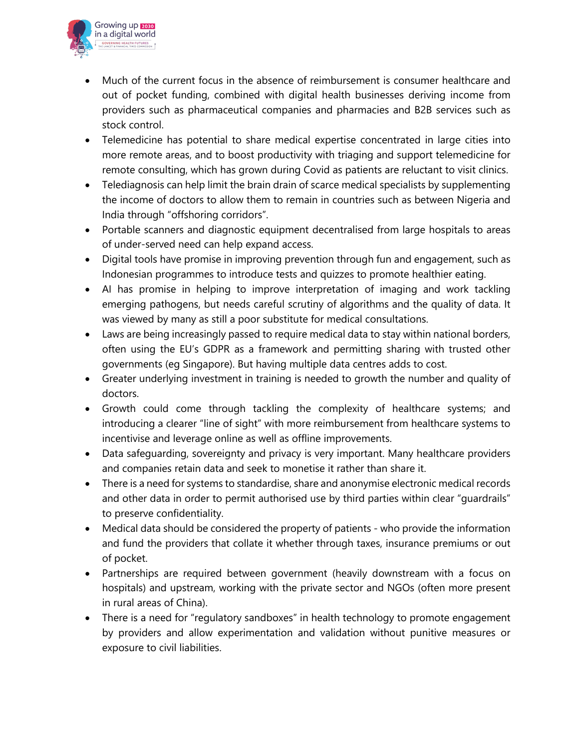

- Much of the current focus in the absence of reimbursement is consumer healthcare and out of pocket funding, combined with digital health businesses deriving income from providers such as pharmaceutical companies and pharmacies and B2B services such as stock control.
- Telemedicine has potential to share medical expertise concentrated in large cities into more remote areas, and to boost productivity with triaging and support telemedicine for remote consulting, which has grown during Covid as patients are reluctant to visit clinics.
- Telediagnosis can help limit the brain drain of scarce medical specialists by supplementing the income of doctors to allow them to remain in countries such as between Nigeria and India through "offshoring corridors".
- Portable scanners and diagnostic equipment decentralised from large hospitals to areas of under-served need can help expand access.
- Digital tools have promise in improving prevention through fun and engagement, such as Indonesian programmes to introduce tests and quizzes to promote healthier eating.
- AI has promise in helping to improve interpretation of imaging and work tackling emerging pathogens, but needs careful scrutiny of algorithms and the quality of data. It was viewed by many as still a poor substitute for medical consultations.
- Laws are being increasingly passed to require medical data to stay within national borders, often using the EU's GDPR as a framework and permitting sharing with trusted other governments (eg Singapore). But having multiple data centres adds to cost.
- Greater underlying investment in training is needed to growth the number and quality of doctors.
- Growth could come through tackling the complexity of healthcare systems; and introducing a clearer "line of sight" with more reimbursement from healthcare systems to incentivise and leverage online as well as offline improvements.
- Data safeguarding, sovereignty and privacy is very important. Many healthcare providers and companies retain data and seek to monetise it rather than share it.
- There is a need for systems to standardise, share and anonymise electronic medical records and other data in order to permit authorised use by third parties within clear "guardrails" to preserve confidentiality.
- Medical data should be considered the property of patients who provide the information and fund the providers that collate it whether through taxes, insurance premiums or out of pocket.
- Partnerships are required between government (heavily downstream with a focus on hospitals) and upstream, working with the private sector and NGOs (often more present in rural areas of China).
- There is a need for "regulatory sandboxes" in health technology to promote engagement by providers and allow experimentation and validation without punitive measures or exposure to civil liabilities.